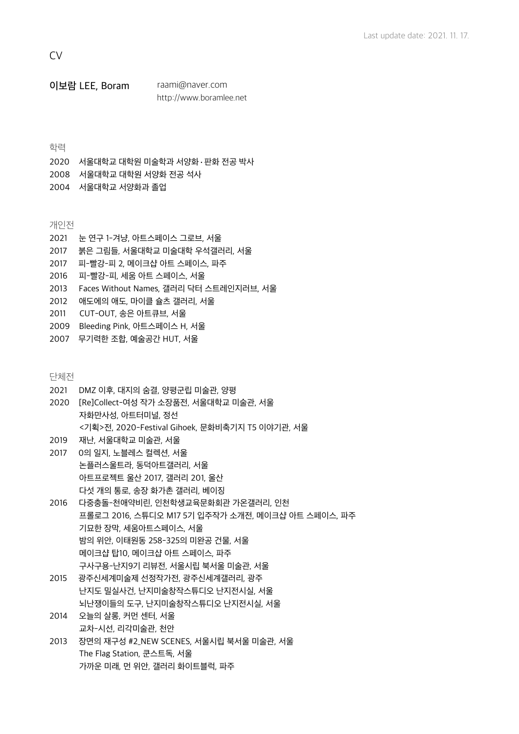**CV** 

이보람 LEE, Boram [raami@naver.com](mailto:raami@naver.com)  [http://www.boramlee.net](http://boramlee.net)

# 학력

- 2020 서울대학교 대학원 미술학과 서양화·판화 전공 박사
- 2008 서울대학교 대학원 서양화 전공 석사
- 2004 서울대학교 서양화과 졸업

개인전

- 2021 눈 연구 1-겨냥, 아트스페이스 그로브, 서울
- 2017 붉은 그림들, 서울대학교 미술대학 우석갤러리, 서울
- 2017 피-빨강-피 2, 메이크샵 아트 스페이스, 파주
- 2016 피-빨강-피, 세움 아트 스페이스, 서울
- 2013 Faces Without Names, 갤러리 닥터 스트레인지러브, 서울
- 2012 애도에의 애도, 마이클 슐츠 갤러리, 서울
- 2011 CUT-OUT, 송은 아트큐브, 서울
- 2009 Bleeding Pink, 아트스페이스 H, 서울
- 2007 무기력한 조합, 예술공간 HUT, 서울

단체전

- 2021 DMZ 이후, 대지의 숨결, 양평군립 미술관, 양평
- 2020 [Re]Collect-여성 작가 소장품전, 서울대학교 미술관, 서울 자화만사성, 아트터미널, 정선 <기획>전, 2020-Festival Gihoek, 문화비축기지 T5 이야기관, 서울
- 2019 재난, 서울대학교 미술관, 서울
- 2017 0의 일지, 노블레스 컬렉션, 서울 논플러스울트라, 동덕아트갤러리, 서울 아트프로젝트 울산 2017, 갤러리 201, 울산 다섯 개의 통로, 송장 화가촌 갤러리, 베이징
- 2016 다중충돌-천애약비린, 인천학생교육문화회관 가온갤러리, 인천 프롤로그 2016, 스튜디오 M17 5기 입주작가 소개전, 메이크샵 아트 스페이스, 파주 기묘한 장막, 세움아트스페이스, 서울 밤의 위안, 이태원동 258-325의 미완공 건물, 서울 메이크샵 탑10, 메이크샵 아트 스페이스, 파주 구사구용-난지9기 리뷰전, 서울시립 북서울 미술관, 서울
- 2015 광주신세계미술제 선정작가전, 광주신세계갤러리, 광주 난지도 밀실사건, 난지미술창작스튜디오 난지전시실, 서울 뇌난쟁이들의 도구, 난지미술창작스튜디오 난지전시실, 서울
- 2014 오늘의 살롱, 커먼 센터, 서울 교차-시선, 리각미술관, 천안
- 2013 장면의 재구성 #2\_NEW SCENES, 서울시립 북서울 미술관, 서울 The Flag Station, 쿤스트독, 서울 가까운 미래, 먼 위안, 갤러리 화이트블럭, 파주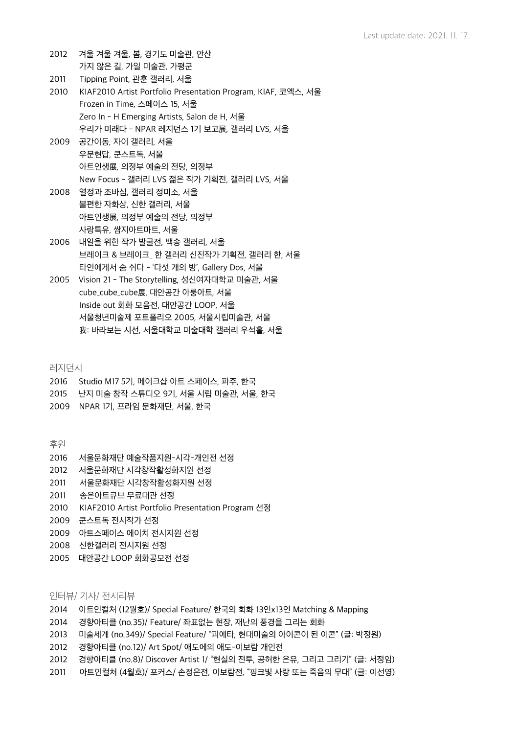- 2012 겨울 겨울 겨울, 봄, 경기도 미술관, 안산 가지 않은 길, 가일 미술관, 가평군
- 2011 Tipping Point, 관훈 갤러리, 서울
- 2010 KIAF2010 Artist Portfolio Presentation Program, KIAF, 코엑스, 서울 Frozen in Time, 스페이스 15, 서울 Zero In - H Emerging Artists, Salon de H, 서울 우리가 미래다 - NPAR 레지던스 1기 보고展, 갤러리 LVS, 서울
- 2009 공간이동, 자이 갤러리, 서울 우문현답, 쿤스트독, 서울 아트인생展, 의정부 예술의 전당, 의정부 New Focus - 갤러리 LVS 젊은 작가 기획전, 갤러리 LVS, 서울
- 2008 열정과 조바심, 갤러리 정미소, 서울 불편한 자화상, 신한 갤러리, 서울 아트인생展, 의정부 예술의 전당, 의정부 사랑특유, 쌈지아트마트, 서울
- 2006 내일을 위한 작가 발굴전, 백송 갤러리, 서울 브레이크 & 브레이크\_ 한 갤러리 신진작가 기획전, 갤러리 한, 서울 타인에게서 숨 쉬다 - '다섯 개의 방', Gallery Dos, 서울
- 2005 Vision 21 The Storytelling, 성신여자대학교 미술관, 서울 cube\_cube\_cube展, 대안공간 아룽아트, 서울 Inside out 회화 모음전, 대안공간 LOOP, 서울 서울청년미술제 포트폴리오 2005, 서울시립미술관, 서울 我: 바라보는 시선, 서울대학교 미술대학 갤러리 우석홀, 서울

레지던시

- 2016 Studio M17 5기, 메이크샵 아트 스페이스, 파주, 한국
- 2015 난지 미술 창작 스튜디오 9기, 서울 시립 미술관, 서울, 한국
- 2009 NPAR 1기, 프라임 문화재단, 서울, 한국

후원

- 2016 서울문화재단 예술작품지원-시각-개인전 선정
- 2012 서울문화재단 시각창작활성화지원 선정
- 2011 서울문화재단 시각창작활성화지원 선정
- 2011 송은아트큐브 무료대관 선정
- 2010 KIAF2010 Artist Portfolio Presentation Program 선정
- 2009 쿤스트독 전시작가 선정
- 2009 아트스페이스 에이치 전시지원 선정
- 2008 신한갤러리 전시지원 선정
- 2005 대안공간 LOOP 회화공모전 선정

#### 인터뷰/ 기사/ 전시리뷰

- 2014 아트인컬처 (12월호)/ Special Feature/ 한국의 회화 13인x13인 Matching & Mapping
- 2014 경향아티클 (no.35)/ Feature/ 좌표없는 현장, 재난의 풍경을 그리는 회화
- 2013 미술세계 (no.349)/ Special Feature/ "피에타, 현대미술의 아이콘이 된 이콘" (글: 박정원)
- 2012 경향아티클 (no.12)/ Art Spot/ 애도에의 애도-이보람 개인전
- 2012 경향아티클 (no.8)/ Discover Artist 1/ "현실의 전투, 공허한 은유, 그리고 그리기" (글: 서정임)
- 2011 아트인컬처 (4월호)/ 포커스/ 손정은전, 이보람전, "핑크빛 사랑 또는 죽음의 무대" (글: 이선영)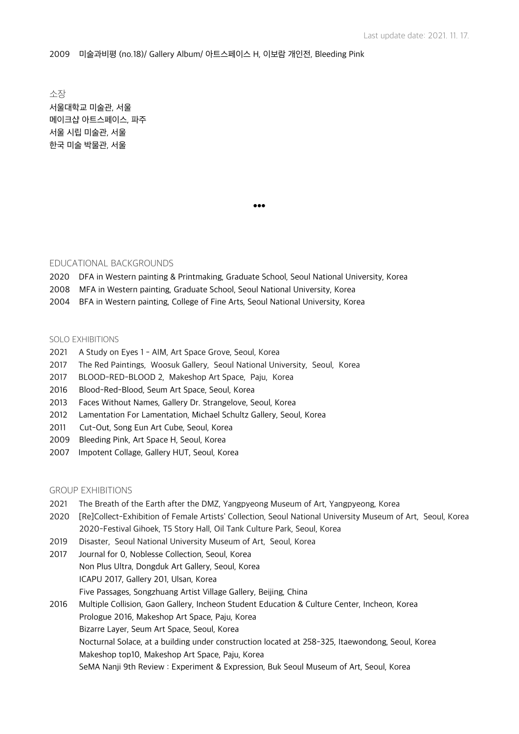2009 미술과비평 (no.18)/ Gallery Album/ 아트스페이스 H, 이보람 개인전, Bleeding Pink

소장 서울대학교 미술관, 서울 메이크샵 아트스페이스, 파주 서울 시립 미술관, 서울 한국 미술 박물관, 서울

●●●

#### EDUCATIONAL BACKGROUNDS

- 2020 DFA in Western painting & Printmaking, Graduate School, Seoul National University, Korea
- 2008 MFA in Western painting, Graduate School, Seoul National University, Korea
- 2004 BFA in Western painting, College of Fine Arts, Seoul National University, Korea

#### SOLO EXHIBITIONS

- 2021 A Study on Eyes 1 AIM, Art Space Grove, Seoul, Korea
- 2017 The Red Paintings, Woosuk Gallery, Seoul National University, Seoul, Korea
- 2017 BLOOD-RED-BLOOD 2, Makeshop Art Space, Paju, Korea
- 2016 Blood-Red-Blood, Seum Art Space, Seoul, Korea
- 2013 Faces Without Names, Gallery Dr. Strangelove, Seoul, Korea
- 2012 Lamentation For Lamentation, Michael Schultz Gallery, Seoul, Korea
- 2011 Cut-Out, Song Eun Art Cube, Seoul, Korea
- 2009 Bleeding Pink, Art Space H, Seoul, Korea
- 2007 Impotent Collage, Gallery HUT, Seoul, Korea

## GROUP EXHIBITIONS

- 2021 The Breath of the Earth after the DMZ, Yangpyeong Museum of Art, Yangpyeong, Korea
- 2020 [Re]Collect-Exhibition of Female Artists' Collection, Seoul National University Museum of Art, Seoul, Korea 2020-Festival Gihoek, T5 Story Hall, Oil Tank Culture Park, Seoul, Korea
- 2019 Disaster, Seoul National University Museum of Art, Seoul, Korea
- 2017 Journal for 0, Noblesse Collection, Seoul, Korea Non Plus Ultra, Dongduk Art Gallery, Seoul, Korea ICAPU 2017, Gallery 201, Ulsan, Korea Five Passages, Songzhuang Artist Village Gallery, Beijing, China
- 2016 Multiple Collision, Gaon Gallery, Incheon Student Education & Culture Center, Incheon, Korea Prologue 2016, Makeshop Art Space, Paju, Korea Bizarre Layer, Seum Art Space, Seoul, Korea Nocturnal Solace, at a building under construction located at 258-325, Itaewondong, Seoul, Korea Makeshop top10, Makeshop Art Space, Paju, Korea SeMA Nanji 9th Review : Experiment & Expression, Buk Seoul Museum of Art, Seoul, Korea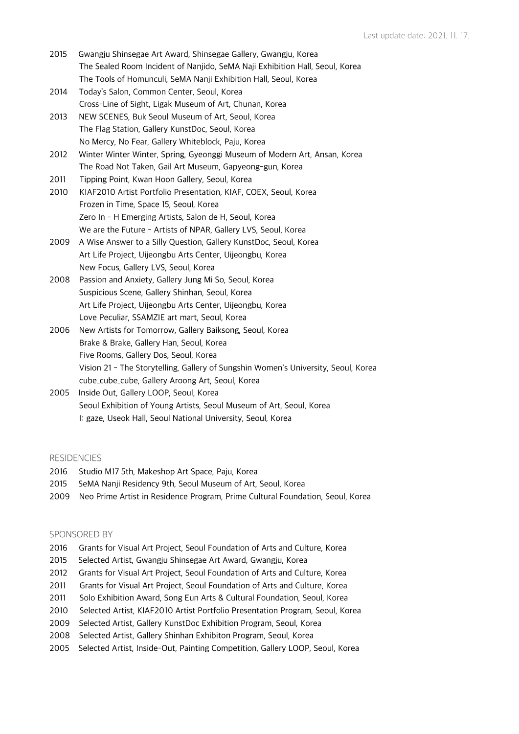- 2015 Gwangju Shinsegae Art Award, Shinsegae Gallery, Gwangju, Korea The Sealed Room Incident of Nanjido, SeMA Naji Exhibition Hall, Seoul, Korea The Tools of Homunculi, SeMA Nanji Exhibition Hall, Seoul, Korea
- 2014 Today's Salon, Common Center, Seoul, Korea Cross-Line of Sight, Ligak Museum of Art, Chunan, Korea
- 2013 NEW SCENES, Buk Seoul Museum of Art, Seoul, Korea The Flag Station, Gallery KunstDoc, Seoul, Korea No Mercy, No Fear, Gallery Whiteblock, Paju, Korea
- 2012 Winter Winter Winter, Spring, Gyeonggi Museum of Modern Art, Ansan, Korea The Road Not Taken, Gail Art Museum, Gapyeong-gun, Korea
- 2011 Tipping Point, Kwan Hoon Gallery, Seoul, Korea
- 2010 KIAF2010 Artist Portfolio Presentation, KIAF, COEX, Seoul, Korea Frozen in Time, Space 15, Seoul, Korea Zero In - H Emerging Artists, Salon de H, Seoul, Korea We are the Future - Artists of NPAR, Gallery LVS, Seoul, Korea
- 2009 A Wise Answer to a Silly Question, Gallery KunstDoc, Seoul, Korea Art Life Project, Uijeongbu Arts Center, Uijeongbu, Korea New Focus, Gallery LVS, Seoul, Korea
- 2008 Passion and Anxiety, Gallery Jung Mi So, Seoul, Korea Suspicious Scene, Gallery Shinhan, Seoul, Korea Art Life Project, Uijeongbu Arts Center, Uijeongbu, Korea Love Peculiar, SSAMZIE art mart, Seoul, Korea
- 2006 New Artists for Tomorrow, Gallery Baiksong, Seoul, Korea Brake & Brake, Gallery Han, Seoul, Korea Five Rooms, Gallery Dos, Seoul, Korea Vision 21 - The Storytelling, Gallery of Sungshin Women's University, Seoul, Korea cube\_cube\_cube, Gallery Aroong Art, Seoul, Korea
- 2005 Inside Out, Gallery LOOP, Seoul, Korea Seoul Exhibition of Young Artists, Seoul Museum of Art, Seoul, Korea I: gaze, Useok Hall, Seoul National University, Seoul, Korea

#### **RESIDENCIES**

- 2016 Studio M17 5th, Makeshop Art Space, Paju, Korea
- 2015 SeMA Nanji Residency 9th, Seoul Museum of Art, Seoul, Korea
- 2009 Neo Prime Artist in Residence Program, Prime Cultural Foundation, Seoul, Korea

## SPONSORED BY

- 2016 Grants for Visual Art Project, Seoul Foundation of Arts and Culture, Korea
- 2015 Selected Artist, Gwangju Shinsegae Art Award, Gwangju, Korea
- 2012 Grants for Visual Art Project, Seoul Foundation of Arts and Culture, Korea
- 2011 Grants for Visual Art Project, Seoul Foundation of Arts and Culture, Korea
- 2011 Solo Exhibition Award, Song Eun Arts & Cultural Foundation, Seoul, Korea
- 2010 Selected Artist, KIAF2010 Artist Portfolio Presentation Program, Seoul, Korea
- 2009 Selected Artist, Gallery KunstDoc Exhibition Program, Seoul, Korea
- 2008 Selected Artist, Gallery Shinhan Exhibiton Program, Seoul, Korea
- 2005 Selected Artist, Inside-Out, Painting Competition, Gallery LOOP, Seoul, Korea